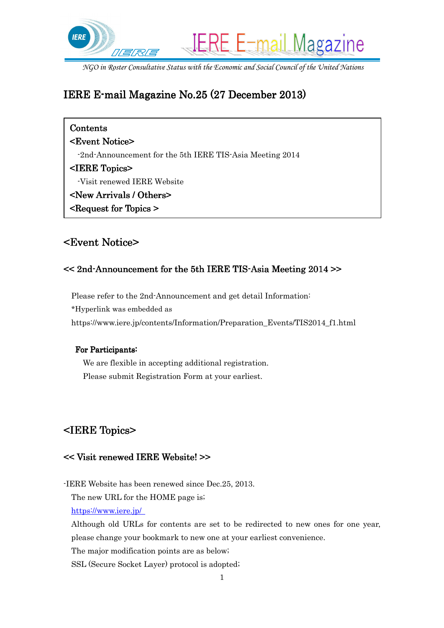

*NGO in Roster Consultative Status with the Economic and Social Council of the United Nations*

## IERE E-mail Magazine No. 25 (27 December 2013)

| Contents                                                 |
|----------------------------------------------------------|
| <b><event notice=""></event></b>                         |
| -2nd-Announcement for the 5th IERE TIS-Asia Meeting 2014 |
| <iere topics=""></iere>                                  |
| -Visit renewed IERE Website                              |
| <new arrivals="" others=""></new>                        |
| <b><request for="" topics=""></request></b>              |
|                                                          |

## <Event Notice> <Event Notice>

### $<< 2nd$ -Announcement for the 5th IERE TIS-Asia Meeting 2014  $>>$

Please refer to the 2nd-Announcement and get detail Information: \*Hyperlink was embedded as https://www.iere.jp/contents/Information/Preparation\_Events/TIS2014\_f1.html

#### For Participants:

 We are flexible in accepting additional registration. Please submit Registration Form at your earliest.

# <IERE Topics> <IERE Topics>

### << Visit renewed IERE Website! >>

-IERE Website has been renewed since Dec.25, 2013.

The new URL for the HOME page is;

https://www.iere.jp/

Although old URLs for contents are set to be redirected to new ones for one year,

please change your bookmark to new one at your earliest convenience.

The major modification points are as below;

SSL (Secure Socket Layer) protocol is adopted;